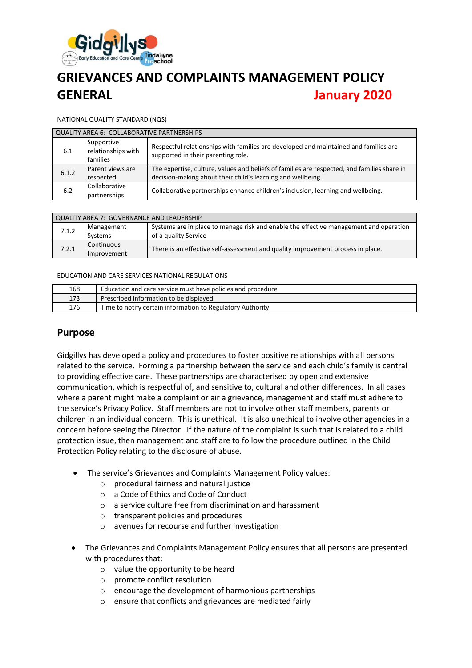

# **GRIEVANCES AND COMPLAINTS MANAGEMENT POLICY GENERAL January 2020**

#### NATIONAL QUALITY STANDARD (NQS)

| QUALITY AREA 6: COLLABORATIVE PARTNERSHIPS |                                              |                                                                                                                            |  |  |
|--------------------------------------------|----------------------------------------------|----------------------------------------------------------------------------------------------------------------------------|--|--|
|                                            |                                              |                                                                                                                            |  |  |
| 6.1                                        | Supportive<br>relationships with<br>families | Respectful relationships with families are developed and maintained and families are<br>supported in their parenting role. |  |  |
| 6.1.2                                      | Parent views are                             | The expertise, culture, values and beliefs of families are respected, and families share in                                |  |  |
|                                            | respected                                    | decision-making about their child's learning and wellbeing.                                                                |  |  |
| 6.2                                        | Collaborative<br>partnerships                | Collaborative partnerships enhance children's inclusion, learning and wellbeing.                                           |  |  |

| QUALITY AREA 7: GOVERNANCE AND LEADERSHIP |                              |                                                                                                               |  |
|-------------------------------------------|------------------------------|---------------------------------------------------------------------------------------------------------------|--|
| 7.1.2                                     | Management<br><b>Systems</b> | Systems are in place to manage risk and enable the effective management and operation<br>of a quality Service |  |
| 7.2.1                                     | Continuous<br>Improvement    | There is an effective self-assessment and quality improvement process in place.                               |  |

#### EDUCATION AND CARE SERVICES NATIONAL REGULATIONS

| 168 | Education and care service must have policies and procedure |
|-----|-------------------------------------------------------------|
| 173 | Prescribed information to be displayed                      |
| 176 | Time to notify certain information to Regulatory Authority  |

#### **Purpose**

Gidgillys has developed a policy and procedures to foster positive relationships with all persons related to the service. Forming a partnership between the service and each child's family is central to providing effective care. These partnerships are characterised by open and extensive communication, which is respectful of, and sensitive to, cultural and other differences. In all cases where a parent might make a complaint or air a grievance, management and staff must adhere to the service's Privacy Policy. Staff members are not to involve other staff members, parents or children in an individual concern. This is unethical. It is also unethical to involve other agencies in a concern before seeing the Director. If the nature of the complaint is such that is related to a child protection issue, then management and staff are to follow the procedure outlined in the Child Protection Policy relating to the disclosure of abuse.

- The service's Grievances and Complaints Management Policy values:
	- o procedural fairness and natural justice
	- o a Code of Ethics and Code of Conduct
	- o a service culture free from discrimination and harassment
	- o transparent policies and procedures
	- o avenues for recourse and further investigation
- The Grievances and Complaints Management Policy ensures that all persons are presented with procedures that:
	- o value the opportunity to be heard
	- o promote conflict resolution
	- o encourage the development of harmonious partnerships
	- o ensure that conflicts and grievances are mediated fairly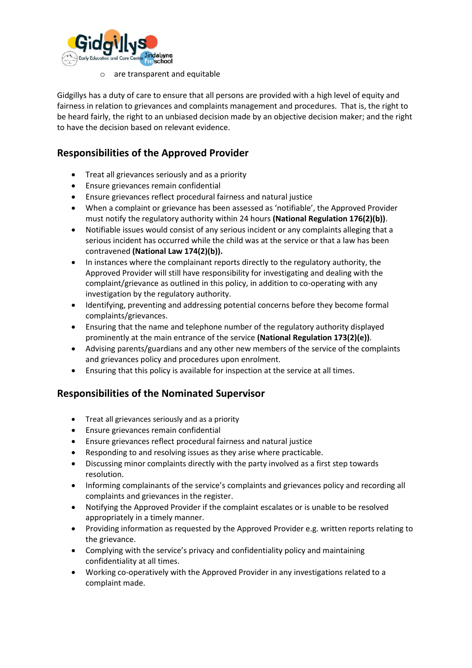

o are transparent and equitable

Gidgillys has a duty of care to ensure that all persons are provided with a high level of equity and fairness in relation to grievances and complaints management and procedures. That is, the right to be heard fairly, the right to an unbiased decision made by an objective decision maker; and the right to have the decision based on relevant evidence.

# **Responsibilities of the Approved Provider**

- Treat all grievances seriously and as a priority
- Ensure grievances remain confidential
- Ensure grievances reflect procedural fairness and natural justice
- When a complaint or grievance has been assessed as 'notifiable', the Approved Provider must notify the regulatory authority within 24 hours **(National Regulation 176(2)(b))**.
- Notifiable issues would consist of any serious incident or any complaints alleging that a serious incident has occurred while the child was at the service or that a law has been contravened **(National Law 174(2)(b)).**
- In instances where the complainant reports directly to the regulatory authority, the Approved Provider will still have responsibility for investigating and dealing with the complaint/grievance as outlined in this policy, in addition to co-operating with any investigation by the regulatory authority.
- Identifying, preventing and addressing potential concerns before they become formal complaints/grievances.
- Ensuring that the name and telephone number of the regulatory authority displayed prominently at the main entrance of the service **(National Regulation 173(2)(e))**.
- Advising parents/guardians and any other new members of the service of the complaints and grievances policy and procedures upon enrolment.
- Ensuring that this policy is available for inspection at the service at all times.

## **Responsibilities of the Nominated Supervisor**

- Treat all grievances seriously and as a priority
- Ensure grievances remain confidential
- Ensure grievances reflect procedural fairness and natural justice
- Responding to and resolving issues as they arise where practicable.
- Discussing minor complaints directly with the party involved as a first step towards resolution.
- Informing complainants of the service's complaints and grievances policy and recording all complaints and grievances in the register.
- Notifying the Approved Provider if the complaint escalates or is unable to be resolved appropriately in a timely manner.
- Providing information as requested by the Approved Provider e.g. written reports relating to the grievance.
- Complying with the service's privacy and confidentiality policy and maintaining confidentiality at all times.
- Working co-operatively with the Approved Provider in any investigations related to a complaint made.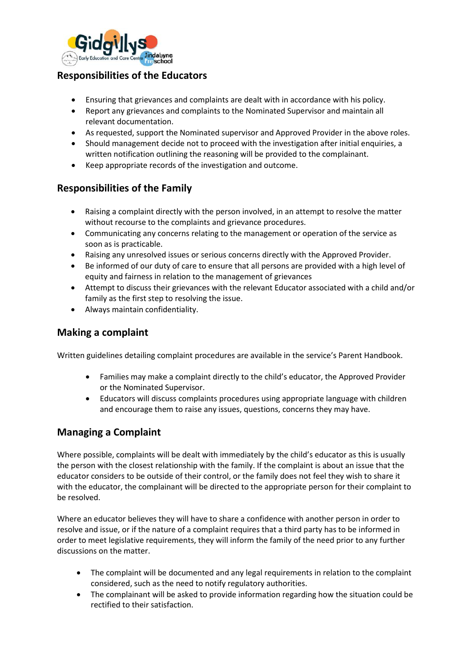

# **Responsibilities of the Educators**

- Ensuring that grievances and complaints are dealt with in accordance with his policy.
- Report any grievances and complaints to the Nominated Supervisor and maintain all relevant documentation.
- As requested, support the Nominated supervisor and Approved Provider in the above roles.
- Should management decide not to proceed with the investigation after initial enquiries, a written notification outlining the reasoning will be provided to the complainant.
- Keep appropriate records of the investigation and outcome.

## **Responsibilities of the Family**

- Raising a complaint directly with the person involved, in an attempt to resolve the matter without recourse to the complaints and grievance procedures.
- Communicating any concerns relating to the management or operation of the service as soon as is practicable.
- Raising any unresolved issues or serious concerns directly with the Approved Provider.
- Be informed of our duty of care to ensure that all persons are provided with a high level of equity and fairness in relation to the management of grievances
- Attempt to discuss their grievances with the relevant Educator associated with a child and/or family as the first step to resolving the issue.
- Always maintain confidentiality.

## **Making a complaint**

Written guidelines detailing complaint procedures are available in the service's Parent Handbook.

- Families may make a complaint directly to the child's educator, the Approved Provider or the Nominated Supervisor.
- Educators will discuss complaints procedures using appropriate language with children and encourage them to raise any issues, questions, concerns they may have.

## **Managing a Complaint**

Where possible, complaints will be dealt with immediately by the child's educator as this is usually the person with the closest relationship with the family. If the complaint is about an issue that the educator considers to be outside of their control, or the family does not feel they wish to share it with the educator, the complainant will be directed to the appropriate person for their complaint to be resolved.

Where an educator believes they will have to share a confidence with another person in order to resolve and issue, or if the nature of a complaint requires that a third party has to be informed in order to meet legislative requirements, they will inform the family of the need prior to any further discussions on the matter.

- The complaint will be documented and any legal requirements in relation to the complaint considered, such as the need to notify regulatory authorities.
- The complainant will be asked to provide information regarding how the situation could be rectified to their satisfaction.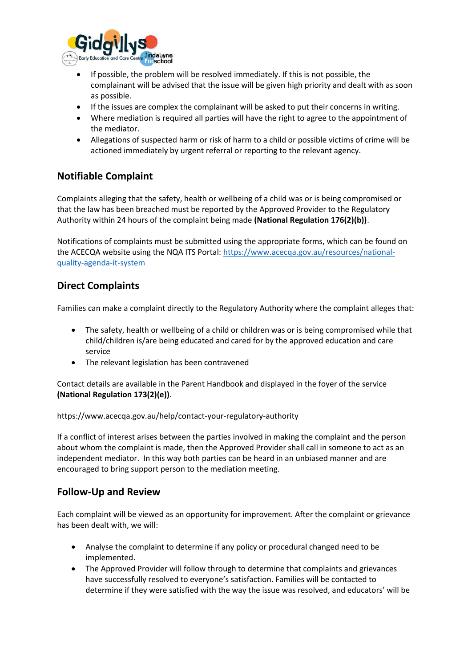

- If possible, the problem will be resolved immediately. If this is not possible, the complainant will be advised that the issue will be given high priority and dealt with as soon as possible.
- If the issues are complex the complainant will be asked to put their concerns in writing.
- Where mediation is required all parties will have the right to agree to the appointment of the mediator.
- Allegations of suspected harm or risk of harm to a child or possible victims of crime will be actioned immediately by urgent referral or reporting to the relevant agency.

# **Notifiable Complaint**

Complaints alleging that the safety, health or wellbeing of a child was or is being compromised or that the law has been breached must be reported by the Approved Provider to the Regulatory Authority within 24 hours of the complaint being made **(National Regulation 176(2)(b))**.

Notifications of complaints must be submitted using the appropriate forms, which can be found on the ACECQA website using the NQA ITS Portal[: https://www.acecqa.gov.au/resources/national](https://www.acecqa.gov.au/resources/national-quality-agenda-it-system)[quality-agenda-it-system](https://www.acecqa.gov.au/resources/national-quality-agenda-it-system)

## **Direct Complaints**

Families can make a complaint directly to the Regulatory Authority where the complaint alleges that:

- The safety, health or wellbeing of a child or children was or is being compromised while that child/children is/are being educated and cared for by the approved education and care service
- The relevant legislation has been contravened

Contact details are available in the Parent Handbook and displayed in the foyer of the service **(National Regulation 173(2)(e))**.

https://www.acecqa.gov.au/help/contact-your-regulatory-authority

If a conflict of interest arises between the parties involved in making the complaint and the person about whom the complaint is made, then the Approved Provider shall call in someone to act as an independent mediator. In this way both parties can be heard in an unbiased manner and are encouraged to bring support person to the mediation meeting.

## **Follow-Up and Review**

Each complaint will be viewed as an opportunity for improvement. After the complaint or grievance has been dealt with, we will:

- Analyse the complaint to determine if any policy or procedural changed need to be implemented.
- The Approved Provider will follow through to determine that complaints and grievances have successfully resolved to everyone's satisfaction. Families will be contacted to determine if they were satisfied with the way the issue was resolved, and educators' will be